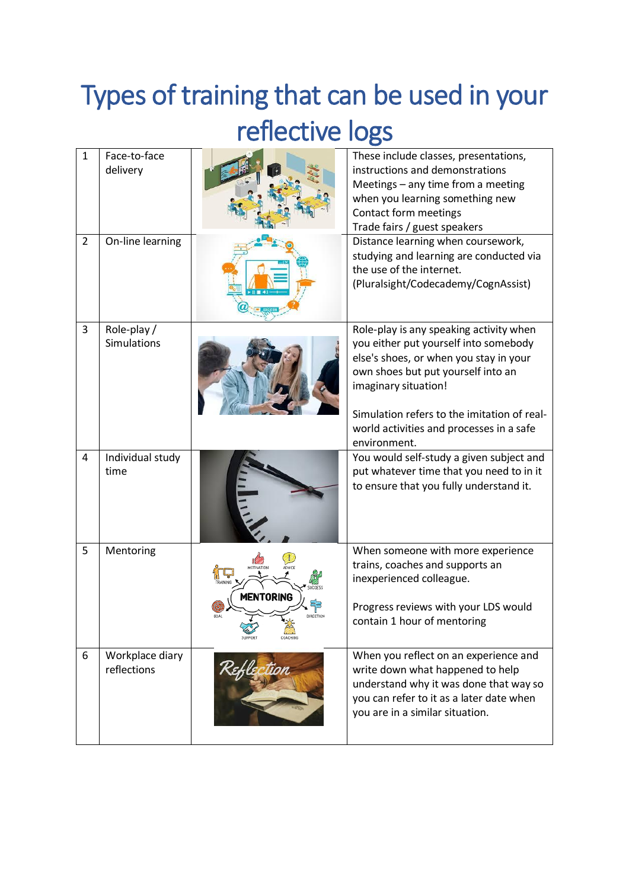## Types of training that can be used in your reflective logs

| $\mathbf{1}$   | Face-to-face<br>delivery       |                                | These include classes, presentations,<br>instructions and demonstrations<br>Meetings - any time from a meeting<br>when you learning something new<br>Contact form meetings<br>Trade fairs / guest speakers                                                                          |
|----------------|--------------------------------|--------------------------------|-------------------------------------------------------------------------------------------------------------------------------------------------------------------------------------------------------------------------------------------------------------------------------------|
| $\overline{2}$ | On-line learning               |                                | Distance learning when coursework,<br>studying and learning are conducted via<br>the use of the internet.<br>(Pluralsight/Codecademy/CognAssist)                                                                                                                                    |
| 3              | Role-play /<br>Simulations     |                                | Role-play is any speaking activity when<br>you either put yourself into somebody<br>else's shoes, or when you stay in your<br>own shoes but put yourself into an<br>imaginary situation!<br>Simulation refers to the imitation of real-<br>world activities and processes in a safe |
| 4              | Individual study<br>time       |                                | environment.<br>You would self-study a given subject and<br>put whatever time that you need to in it<br>to ensure that you fully understand it.                                                                                                                                     |
| 5              | Mentoring                      | ADVICI<br>MENTORING<br>COACHIN | When someone with more experience<br>trains, coaches and supports an<br>inexperienced colleague.<br>Progress reviews with your LDS would<br>contain 1 hour of mentoring                                                                                                             |
| 6              | Workplace diary<br>reflections |                                | When you reflect on an experience and<br>write down what happened to help<br>understand why it was done that way so<br>you can refer to it as a later date when<br>you are in a similar situation.                                                                                  |